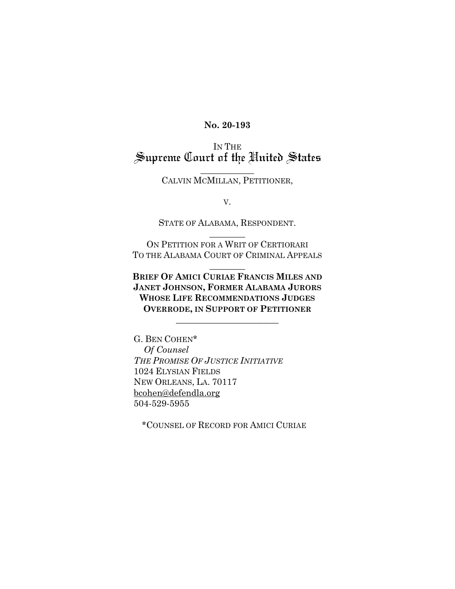#### **No. 20-193**

# IN THE<br>Supreme Court of the United States

 $\overline{\phantom{a}}$  , where  $\overline{\phantom{a}}$ CALVIN MCMILLAN, PETITIONER,

V.

STATE OF ALABAMA, RESPONDENT.  $\overline{\phantom{a}}$ 

ON PETITION FOR A WRIT OF CERTIORARI TO THE ALABAMA COURT OF CRIMINAL APPEALS

 $\overline{\phantom{a}}$ 

**BRIEF OF AMICI CURIAE FRANCIS MILES AND JANET JOHNSON, FORMER ALABAMA JURORS WHOSE LIFE RECOMMENDATIONS JUDGES OVERRODE, IN SUPPORT OF PETITIONER**

 $\mathcal{L}_\text{max}$  , which is a set of the set of the set of the set of the set of the set of the set of the set of the set of the set of the set of the set of the set of the set of the set of the set of the set of the set of

G. BEN COHEN\* *Of Counsel THE PROMISE OF JUSTICE INITIATIVE* 1024 ELYSIAN FIELDS NEW ORLEANS, LA. 70117 [bcohen@defendla.org](mailto:bcohen@defendla.org) 504-529-5955

\*COUNSEL OF RECORD FOR AMICI CURIAE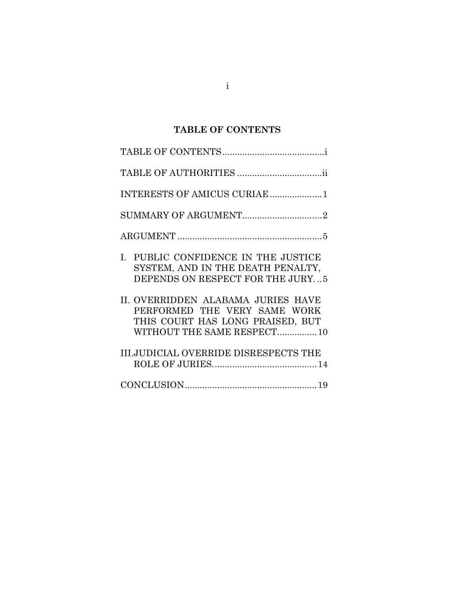# **TABLE OF CONTENTS**

<span id="page-1-0"></span>

| INTERESTS OF AMICUS CURIAE 1                                                                                                          |
|---------------------------------------------------------------------------------------------------------------------------------------|
|                                                                                                                                       |
|                                                                                                                                       |
| I. PUBLIC CONFIDENCE IN THE JUSTICE<br>SYSTEM, AND IN THE DEATH PENALTY,<br>DEPENDS ON RESPECT FOR THE JURY5                          |
| II. OVERRIDDEN ALABAMA JURIES HAVE<br>PERFORMED THE VERY SAME WORK<br>THIS COURT HAS LONG PRAISED, BUT<br>WITHOUT THE SAME RESPECT 10 |
| <b>III.JUDICIAL OVERRIDE DISRESPECTS THE</b>                                                                                          |
|                                                                                                                                       |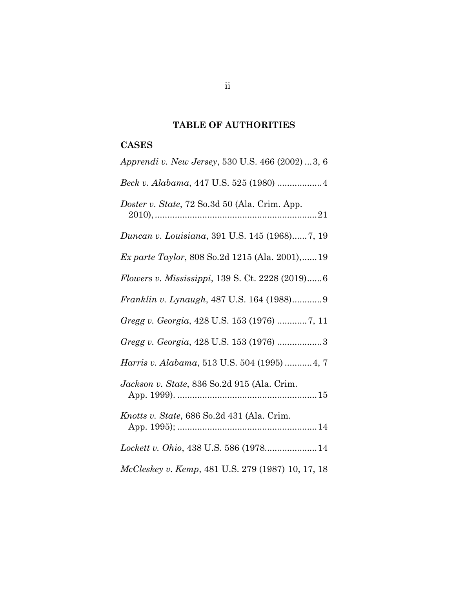# **TABLE OF AUTHORITIES**

# **CASES**

| Apprendi v. New Jersey, 530 U.S. 466 (2002) 3, 6       |
|--------------------------------------------------------|
|                                                        |
| Doster v. State, 72 So.3d 50 (Ala. Crim. App.          |
| Duncan v. Louisiana, 391 U.S. 145 (1968)7, 19          |
| <i>Ex parte Taylor</i> , 808 So.2d 1215 (Ala. 2001),19 |
| Flowers v. Mississippi, 139 S. Ct. 2228 (2019)6        |
| Franklin v. Lynaugh, 487 U.S. 164 (1988)9              |
| Gregg v. Georgia, 428 U.S. 153 (1976) 7, 11            |
| Gregg v. Georgia, 428 U.S. 153 (1976) 3                |
| Harris v. Alabama, 513 U.S. 504 (1995)  4, 7           |
| Jackson v. State, 836 So.2d 915 (Ala. Crim.            |
| Knotts v. State, 686 So.2d 431 (Ala. Crim.             |
| Lockett v. Ohio, 438 U.S. 586 (1978 14                 |
| McCleskey v. Kemp, 481 U.S. 279 (1987) 10, 17, 18      |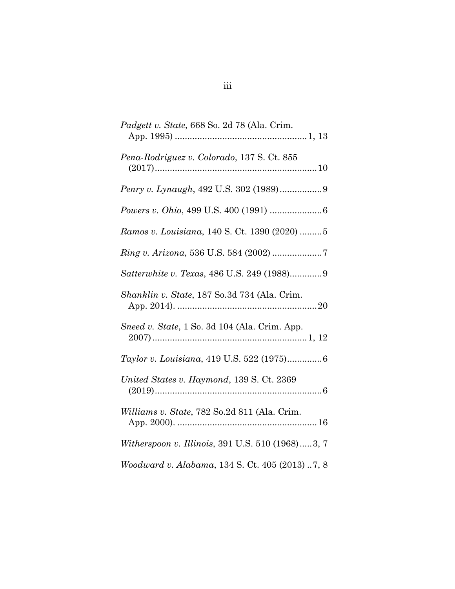| Padgett v. State, 668 So. 2d 78 (Ala. Crim.      |
|--------------------------------------------------|
| Pena-Rodriguez v. Colorado, 137 S. Ct. 855       |
|                                                  |
|                                                  |
| Ramos v. Louisiana, 140 S. Ct. 1390 (2020) 5     |
|                                                  |
| Satterwhite v. Texas, 486 U.S. 249 (1988)9       |
| Shanklin v. State, 187 So.3d 734 (Ala. Crim.     |
| Sneed v. State, 1 So. 3d 104 (Ala. Crim. App.    |
| Taylor v. Louisiana, 419 U.S. 522 (1975)6        |
| United States v. Haymond, 139 S. Ct. 2369        |
| Williams v. State, 782 So.2d 811 (Ala. Crim.     |
| Witherspoon v. Illinois, 391 U.S. 510 (1968)3, 7 |
| Woodward v. Alabama, 134 S. Ct. 405 (2013) 7, 8  |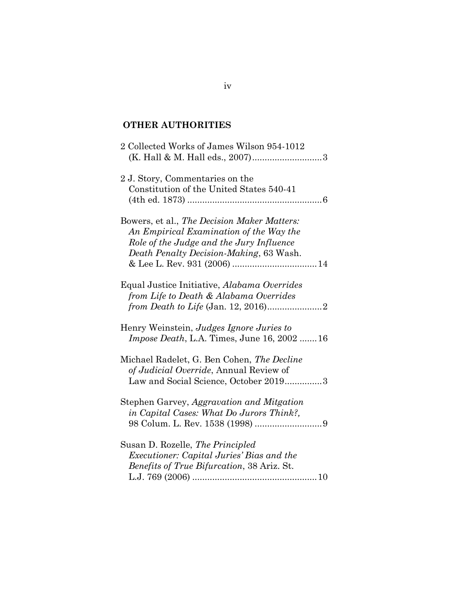# **OTHER AUTHORITIES**

| 2 Collected Works of James Wilson 954-1012                                                                                                                                    |  |
|-------------------------------------------------------------------------------------------------------------------------------------------------------------------------------|--|
| 2 J. Story, Commentaries on the<br>Constitution of the United States 540-41                                                                                                   |  |
| Bowers, et al., The Decision Maker Matters:<br>An Empirical Examination of the Way the<br>Role of the Judge and the Jury Influence<br>Death Penalty Decision-Making, 63 Wash. |  |
| Equal Justice Initiative, Alabama Overrides<br>from Life to Death & Alabama Overrides                                                                                         |  |
| Henry Weinstein, Judges Ignore Juries to<br><i>Impose Death</i> , L.A. Times, June 16, 2002  16                                                                               |  |
| Michael Radelet, G. Ben Cohen, The Decline<br>of Judicial Override, Annual Review of<br>Law and Social Science, October 20193                                                 |  |
| Stephen Garvey, Aggravation and Mitgation<br>in Capital Cases: What Do Jurors Think?,                                                                                         |  |
| Susan D. Rozelle, The Principled<br><i>Executioner: Capital Juries' Bias and the</i><br><i>Benefits of True Bifurcation, 38 Ariz. St.</i>                                     |  |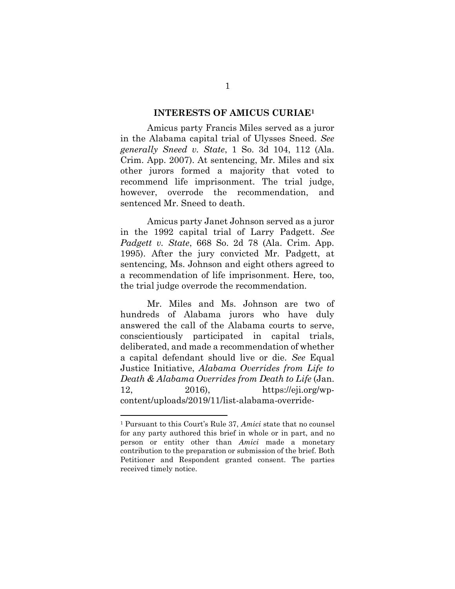#### **INTERESTS OF AMICUS CURIAE<sup>1</sup>**

<span id="page-5-0"></span>Amicus party Francis Miles served as a juror in the Alabama capital trial of Ulysses Sneed. *See generally Sneed v. State*, 1 So. 3d 104, 112 (Ala. Crim. App. 2007). At sentencing, Mr. Miles and six other jurors formed a majority that voted to recommend life imprisonment. The trial judge, however, overrode the recommendation, and sentenced Mr. Sneed to death.

Amicus party Janet Johnson served as a juror in the 1992 capital trial of Larry Padgett. *See Padgett v. State*, 668 So. 2d 78 (Ala. Crim. App. 1995). After the jury convicted Mr. Padgett, at sentencing, Ms. Johnson and eight others agreed to a recommendation of life imprisonment. Here, too, the trial judge overrode the recommendation.

Mr. Miles and Ms. Johnson are two of hundreds of Alabama jurors who have duly answered the call of the Alabama courts to serve, conscientiously participated in capital trials, deliberated, and made a recommendation of whether a capital defendant should live or die. *See* Equal Justice Initiative, *Alabama Overrides from Life to Death & Alabama Overrides from Death to Life* (Jan. 12, 2016), https://eji.org/wpcontent/uploads/2019/11/list-alabama-override-

<sup>1</sup> Pursuant to this Court's Rule 37, *Amici* state that no counsel for any party authored this brief in whole or in part, and no person or entity other than *Amici* made a monetary contribution to the preparation or submission of the brief. Both Petitioner and Respondent granted consent. The parties received timely notice.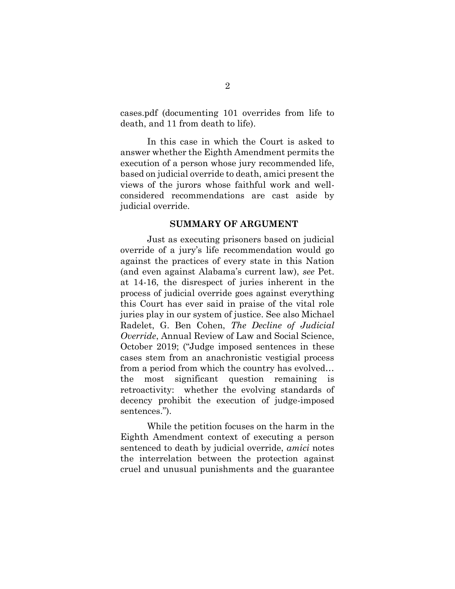cases.pdf (documenting 101 overrides from life to death, and 11 from death to life).

In this case in which the Court is asked to answer whether the Eighth Amendment permits the execution of a person whose jury recommended life, based on judicial override to death, amici present the views of the jurors whose faithful work and wellconsidered recommendations are cast aside by judicial override.

#### **SUMMARY OF ARGUMENT**

<span id="page-6-0"></span>Just as executing prisoners based on judicial override of a jury's life recommendation would go against the practices of every state in this Nation (and even against Alabama's current law), *see* Pet. at 14-16, the disrespect of juries inherent in the process of judicial override goes against everything this Court has ever said in praise of the vital role juries play in our system of justice. See also Michael Radelet, G. Ben Cohen, *The Decline of Judicial Override*, Annual Review of Law and Social Science, October 2019; ("Judge imposed sentences in these cases stem from an anachronistic vestigial process from a period from which the country has evolved… the most significant question remaining is retroactivity: whether the evolving standards of decency prohibit the execution of judge-imposed sentences.").

While the petition focuses on the harm in the Eighth Amendment context of executing a person sentenced to death by judicial override, *amici* notes the interrelation between the protection against cruel and unusual punishments and the guarantee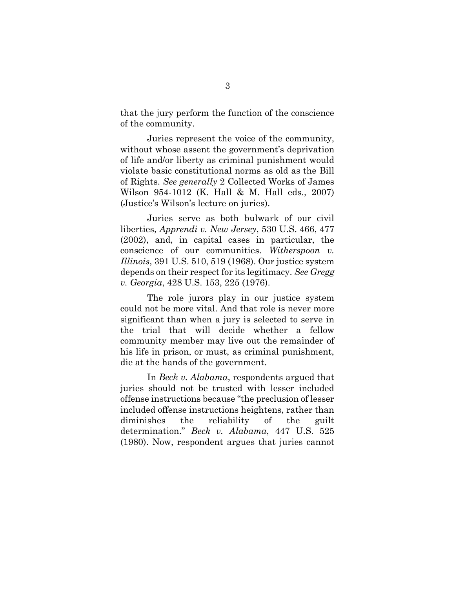that the jury perform the function of the conscience of the community.

Juries represent the voice of the community, without whose assent the government's deprivation of life and/or liberty as criminal punishment would violate basic constitutional norms as old as the Bill of Rights. *See generally* 2 Collected Works of James Wilson 954-1012 (K. Hall & M. Hall eds., 2007) (Justice's Wilson's lecture on juries).

Juries serve as both bulwark of our civil liberties, *Apprendi v. New Jersey*, 530 U.S. 466, 477 (2002), and, in capital cases in particular, the conscience of our communities. *Witherspoon v. Illinois*, 391 U.S. 510, 519 (1968). Our justice system depends on their respect for its legitimacy. *See Gregg v. Georgia*, 428 U.S. 153, 225 (1976).

The role jurors play in our justice system could not be more vital. And that role is never more significant than when a jury is selected to serve in the trial that will decide whether a fellow community member may live out the remainder of his life in prison, or must, as criminal punishment, die at the hands of the government.

In *Beck v. Alabama*, respondents argued that juries should not be trusted with lesser included offense instructions because "the preclusion of lesser included offense instructions heightens, rather than diminishes the reliability of the guilt determination." *Beck v. Alabama*, 447 U.S. 525 (1980). Now, respondent argues that juries cannot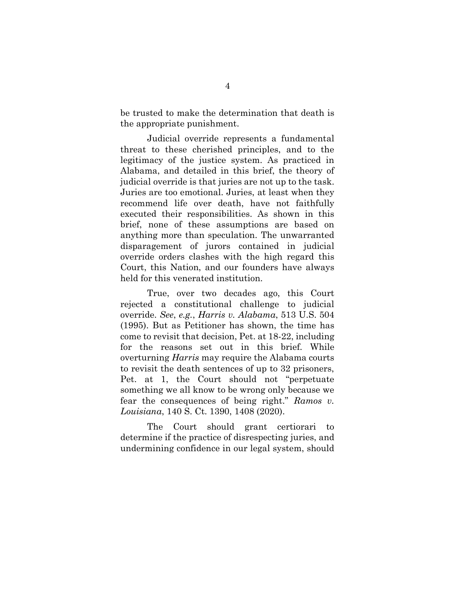be trusted to make the determination that death is the appropriate punishment.

Judicial override represents a fundamental threat to these cherished principles, and to the legitimacy of the justice system. As practiced in Alabama, and detailed in this brief, the theory of judicial override is that juries are not up to the task. Juries are too emotional. Juries, at least when they recommend life over death, have not faithfully executed their responsibilities. As shown in this brief, none of these assumptions are based on anything more than speculation. The unwarranted disparagement of jurors contained in judicial override orders clashes with the high regard this Court, this Nation, and our founders have always held for this venerated institution.

True, over two decades ago, this Court rejected a constitutional challenge to judicial override. *See*, *e.g.*, *Harris v. Alabama*, 513 U.S. 504 (1995). But as Petitioner has shown, the time has come to revisit that decision, Pet. at 18-22, including for the reasons set out in this brief. While overturning *Harris* may require the Alabama courts to revisit the death sentences of up to 32 prisoners, Pet. at 1, the Court should not "perpetuate something we all know to be wrong only because we fear the consequences of being right." *Ramos v. Louisiana*, 140 S. Ct. 1390, 1408 (2020).

The Court should grant certiorari to determine if the practice of disrespecting juries, and undermining confidence in our legal system, should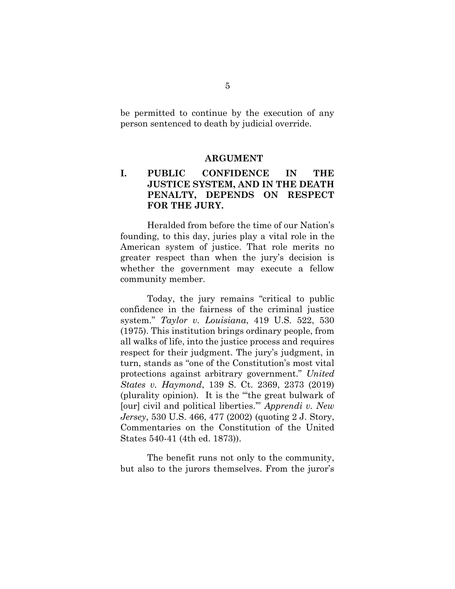be permitted to continue by the execution of any person sentenced to death by judicial override.

#### **ARGUMENT**

## <span id="page-9-1"></span><span id="page-9-0"></span>**I. PUBLIC CONFIDENCE IN THE JUSTICE SYSTEM, AND IN THE DEATH PENALTY, DEPENDS ON RESPECT FOR THE JURY.**

Heralded from before the time of our Nation's founding, to this day, juries play a vital role in the American system of justice. That role merits no greater respect than when the jury's decision is whether the government may execute a fellow community member.

Today, the jury remains "critical to public confidence in the fairness of the criminal justice system." *Taylor v. Louisiana*, 419 U.S. 522, 530 (1975). This institution brings ordinary people, from all walks of life, into the justice process and requires respect for their judgment. The jury's judgment, in turn, stands as "one of the Constitution's most vital protections against arbitrary government." *United States v. Haymond*, 139 S. Ct. 2369, 2373 (2019) (plurality opinion). It is the "'the great bulwark of [our] civil and political liberties.'" *Apprendi v. New Jersey*, 530 U.S. 466, 477 (2002) (quoting 2 J. Story, Commentaries on the Constitution of the United States 540-41 (4th ed. 1873)).

The benefit runs not only to the community, but also to the jurors themselves. From the juror's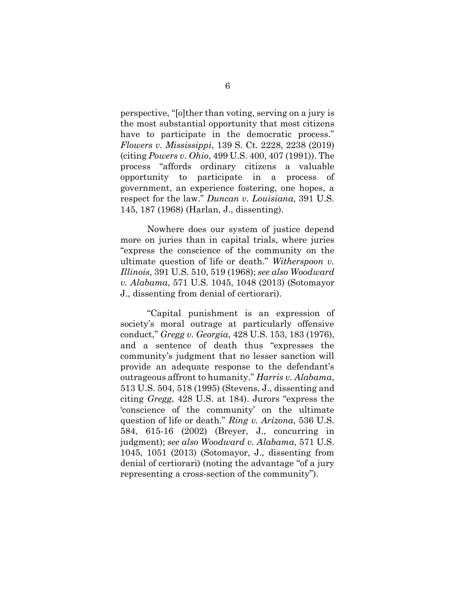perspective, "[o]ther than voting, serving on a jury is the most substantial opportunity that most citizens have to participate in the democratic process." *Flowers v. Mississippi*, 139 S. Ct. 2228, 2238 (2019) (citing *Powers v. Ohio*, 499 U.S. 400, 407 (1991)). The process "affords ordinary citizens a valuable opportunity to participate in a process of government, an experience fostering, one hopes, a respect for the law." *Duncan v. Louisiana*, 391 U.S. 145, 187 (1968) (Harlan, J., dissenting).

Nowhere does our system of justice depend more on juries than in capital trials, where juries "express the conscience of the community on the ultimate question of life or death." *Witherspoon v. Illinois*, 391 U.S. 510, 519 (1968); *see also Woodward v. Alabama*, 571 U.S. 1045, 1048 (2013) (Sotomayor J., dissenting from denial of certiorari).

"Capital punishment is an expression of society's moral outrage at particularly offensive conduct," *Gregg v. Georgia*, 428 U.S. 153, 183 (1976), and a sentence of death thus "expresses the community's judgment that no lesser sanction will provide an adequate response to the defendant's outrageous affront to humanity." *Harris v. Alabama*, 513 U.S. 504, 518 (1995) (Stevens, J., dissenting and citing *Gregg*, 428 U.S. at 184). Jurors "express the 'conscience of the community' on the ultimate question of life or death." *Ring v. Arizona*, 536 U.S. 584, 615-16 (2002) (Breyer, J., concurring in judgment); *see also Woodward v. Alabama*, 571 U.S. 1045, 1051 (2013) (Sotomayor, J., dissenting from denial of certiorari) (noting the advantage "of a jury representing a cross-section of the community").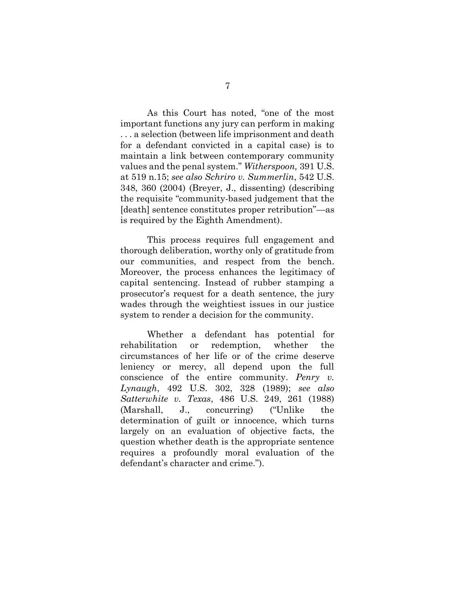As this Court has noted, "one of the most important functions any jury can perform in making . . . a selection (between life imprisonment and death for a defendant convicted in a capital case) is to maintain a link between contemporary community values and the penal system." *Witherspoon,* 391 U.S. at 519 n.15; *see also Schriro v. Summerlin*, 542 U.S. 348, 360 (2004) (Breyer, J., dissenting) (describing the requisite "community-based judgement that the [death] sentence constitutes proper retribution"—as is required by the Eighth Amendment).

This process requires full engagement and thorough deliberation, worthy only of gratitude from our communities, and respect from the bench. Moreover, the process enhances the legitimacy of capital sentencing. Instead of rubber stamping a prosecutor's request for a death sentence, the jury wades through the weightiest issues in our justice system to render a decision for the community.

Whether a defendant has potential for rehabilitation or redemption, whether the circumstances of her life or of the crime deserve leniency or mercy, all depend upon the full conscience of the entire community. *Penry v. Lynaugh*, 492 U.S. 302, 328 (1989); *see also Satterwhite v. Texas*, 486 U.S. 249, 261 (1988) (Marshall, J., concurring) ("Unlike the determination of guilt or innocence, which turns largely on an evaluation of objective facts, the question whether death is the appropriate sentence requires a profoundly moral evaluation of the defendant's character and crime.").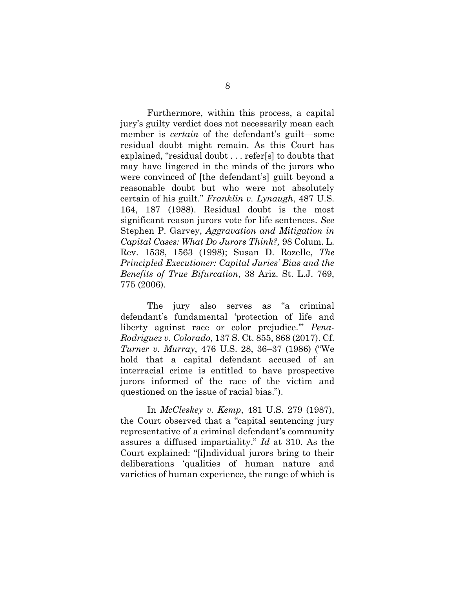Furthermore, within this process, a capital jury's guilty verdict does not necessarily mean each member is *certain* of the defendant's guilt—some residual doubt might remain. As this Court has explained, "residual doubt . . . refer[s] to doubts that may have lingered in the minds of the jurors who were convinced of [the defendant's] guilt beyond a reasonable doubt but who were not absolutely certain of his guilt." *Franklin v. Lynaugh*, 487 U.S. 164, 187 (1988). Residual doubt is the most significant reason jurors vote for life sentences. *See* Stephen P. Garvey, *Aggravation and Mitigation in Capital Cases: What Do Jurors Think?,* 98 Colum. L. Rev. 1538, 1563 (1998); Susan D. Rozelle, *The Principled Executioner: Capital Juries' Bias and the Benefits of True Bifurcation*, 38 Ariz. St. L.J. 769, 775 (2006).

The jury also serves as "a criminal defendant's fundamental 'protection of life and liberty against race or color prejudice.'" *Pena-Rodriguez v. Colorado*, 137 S. Ct. 855, 868 (2017). Cf. *Turner v. Murray*, 476 U.S. 28, 36–37 (1986) ("We hold that a capital defendant accused of an interracial crime is entitled to have prospective jurors informed of the race of the victim and questioned on the issue of racial bias.").

In *McCleskey v. Kemp*, 481 U.S. 279 (1987), the Court observed that a "capital sentencing jury representative of a criminal defendant's community assures a diffused impartiality." *Id* at 310. As the Court explained: "[i]ndividual jurors bring to their deliberations 'qualities of human nature and varieties of human experience, the range of which is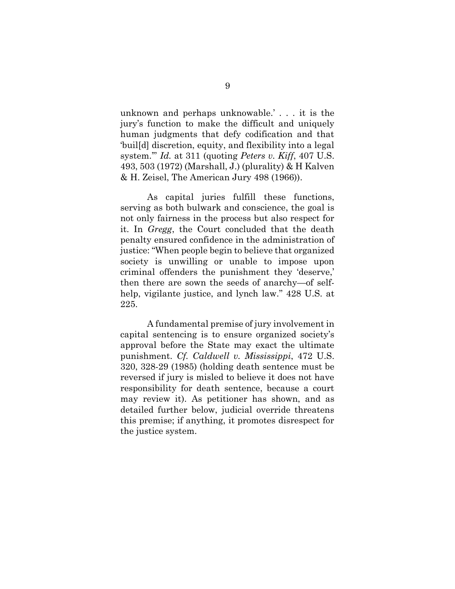unknown and perhaps unknowable.' . . . it is the jury's function to make the difficult and uniquely human judgments that defy codification and that 'buil[d] discretion, equity, and flexibility into a legal system.'" *Id.* at 311 (quoting *Peters v. Kiff*, 407 U.S. 493, 503 (1972) (Marshall, J.) (plurality) & H Kalven & H. Zeisel, The American Jury 498 (1966)).

As capital juries fulfill these functions, serving as both bulwark and conscience, the goal is not only fairness in the process but also respect for it. In *Gregg*, the Court concluded that the death penalty ensured confidence in the administration of justice: "When people begin to believe that organized society is unwilling or unable to impose upon criminal offenders the punishment they 'deserve,' then there are sown the seeds of anarchy—of selfhelp, vigilante justice, and lynch law." 428 U.S. at 225.

A fundamental premise of jury involvement in capital sentencing is to ensure organized society's approval before the State may exact the ultimate punishment. *Cf. Caldwell v. Mississippi*, 472 U.S. 320, 328-29 (1985) (holding death sentence must be reversed if jury is misled to believe it does not have responsibility for death sentence, because a court may review it). As petitioner has shown, and as detailed further below, judicial override threatens this premise; if anything, it promotes disrespect for the justice system.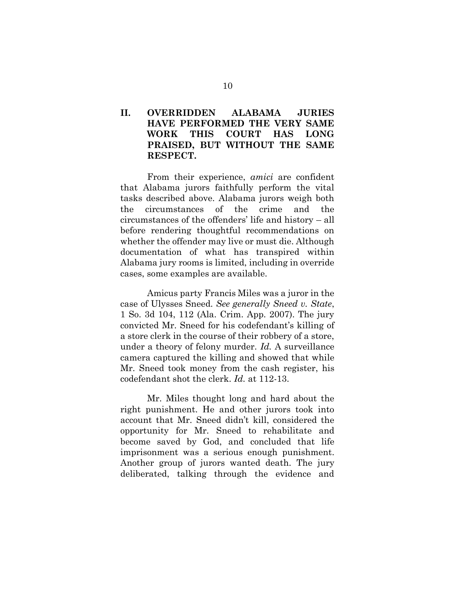## <span id="page-14-0"></span>**II. OVERRIDDEN ALABAMA JURIES HAVE PERFORMED THE VERY SAME WORK THIS COURT HAS LONG PRAISED, BUT WITHOUT THE SAME RESPECT.**

From their experience, *amici* are confident that Alabama jurors faithfully perform the vital tasks described above. Alabama jurors weigh both the circumstances of the crime and the circumstances of the offenders' life and history – all before rendering thoughtful recommendations on whether the offender may live or must die. Although documentation of what has transpired within Alabama jury rooms is limited, including in override cases, some examples are available.

Amicus party Francis Miles was a juror in the case of Ulysses Sneed. *See generally Sneed v. State*, 1 So. 3d 104, 112 (Ala. Crim. App. 2007). The jury convicted Mr. Sneed for his codefendant's killing of a store clerk in the course of their robbery of a store, under a theory of felony murder. *Id.* A surveillance camera captured the killing and showed that while Mr. Sneed took money from the cash register, his codefendant shot the clerk. *Id.* at 112-13.

Mr. Miles thought long and hard about the right punishment. He and other jurors took into account that Mr. Sneed didn't kill, considered the opportunity for Mr. Sneed to rehabilitate and become saved by God, and concluded that life imprisonment was a serious enough punishment. Another group of jurors wanted death. The jury deliberated, talking through the evidence and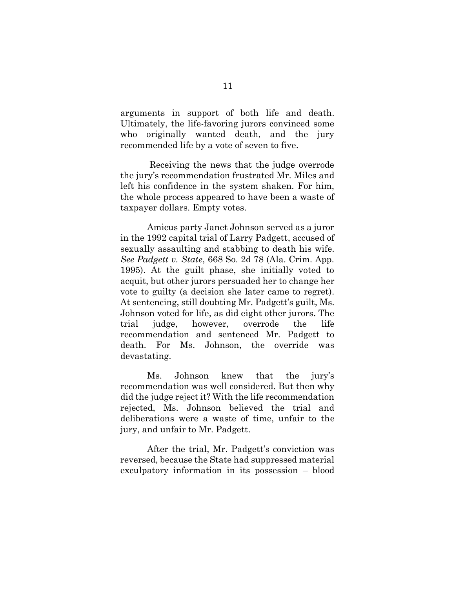arguments in support of both life and death. Ultimately, the life-favoring jurors convinced some who originally wanted death, and the jury recommended life by a vote of seven to five.

Receiving the news that the judge overrode the jury's recommendation frustrated Mr. Miles and left his confidence in the system shaken. For him, the whole process appeared to have been a waste of taxpayer dollars. Empty votes.

Amicus party Janet Johnson served as a juror in the 1992 capital trial of Larry Padgett, accused of sexually assaulting and stabbing to death his wife. *See Padgett v. State*, 668 So. 2d 78 (Ala. Crim. App. 1995). At the guilt phase, she initially voted to acquit, but other jurors persuaded her to change her vote to guilty (a decision she later came to regret). At sentencing, still doubting Mr. Padgett's guilt, Ms. Johnson voted for life, as did eight other jurors. The trial judge, however, overrode the life recommendation and sentenced Mr. Padgett to death. For Ms. Johnson, the override was devastating.

Ms. Johnson knew that the jury's recommendation was well considered. But then why did the judge reject it? With the life recommendation rejected, Ms. Johnson believed the trial and deliberations were a waste of time, unfair to the jury, and unfair to Mr. Padgett.

After the trial, Mr. Padgett's conviction was reversed, because the State had suppressed material exculpatory information in its possession – blood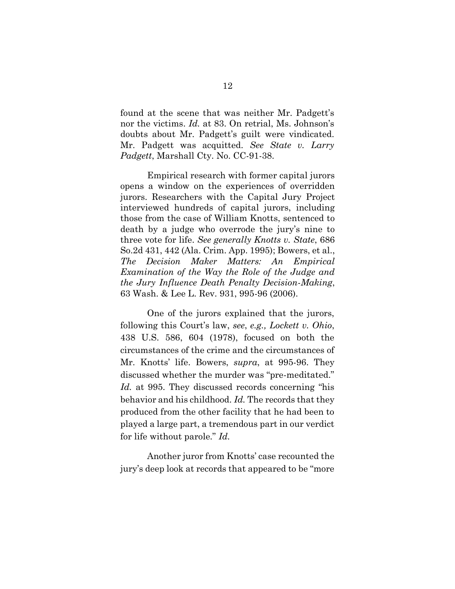found at the scene that was neither Mr. Padgett's nor the victims. *Id.* at 83. On retrial, Ms. Johnson's doubts about Mr. Padgett's guilt were vindicated. Mr. Padgett was acquitted. *See State v. Larry Padgett*, Marshall Cty. No. CC-91-38.

Empirical research with former capital jurors opens a window on the experiences of overridden jurors. Researchers with the Capital Jury Project interviewed hundreds of capital jurors, including those from the case of William Knotts, sentenced to death by a judge who overrode the jury's nine to three vote for life. *See generally Knotts v. State*, 686 So.2d 431, 442 (Ala. Crim. App. 1995); Bowers, et al., *The Decision Maker Matters: An Empirical Examination of the Way the Role of the Judge and the Jury Influence Death Penalty Decision-Making*, 63 Wash. & Lee L. Rev. 931, 995-96 (2006).

One of the jurors explained that the jurors, following this Court's law, *see*, *e.g., Lockett v. Ohio*, 438 U.S. 586, 604 (1978), focused on both the circumstances of the crime and the circumstances of Mr. Knotts' life. Bowers, *supra*, at 995-96. They discussed whether the murder was "pre-meditated." *Id.* at 995. They discussed records concerning "his behavior and his childhood. *Id.* The records that they produced from the other facility that he had been to played a large part, a tremendous part in our verdict for life without parole." *Id.*

Another juror from Knotts' case recounted the jury's deep look at records that appeared to be "more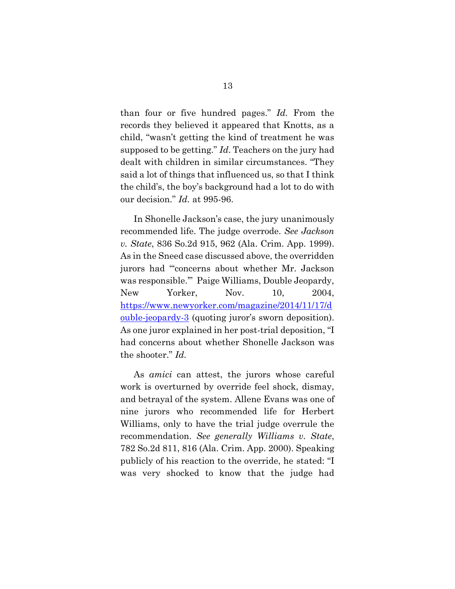than four or five hundred pages." *Id.* From the records they believed it appeared that Knotts, as a child, "wasn't getting the kind of treatment he was supposed to be getting." *Id*. Teachers on the jury had dealt with children in similar circumstances. "They said a lot of things that influenced us, so that I think the child's, the boy's background had a lot to do with our decision." *Id.* at 995-96.

In Shonelle Jackson's case, the jury unanimously recommended life. The judge overrode. *See Jackson v. State*, 836 So.2d 915, 962 (Ala. Crim. App. 1999). As in the Sneed case discussed above, the overridden jurors had "'concerns about whether Mr. Jackson was responsible.'" Paige Williams, Double Jeopardy, New Yorker, Nov. 10, 2004, [https://www.newyorker.com/magazine/2014/11/17/d](https://www.newyorker.com/magazine/2014/11/17/double-jeopardy-3) [ouble-jeopardy-3](https://www.newyorker.com/magazine/2014/11/17/double-jeopardy-3) (quoting juror's sworn deposition). As one juror explained in her post-trial deposition, "I had concerns about whether Shonelle Jackson was the shooter." *Id.* 

As *amici* can attest, the jurors whose careful work is overturned by override feel shock, dismay, and betrayal of the system. Allene Evans was one of nine jurors who recommended life for Herbert Williams, only to have the trial judge overrule the recommendation. *See generally Williams v. State*, 782 So.2d 811, 816 (Ala. Crim. App. 2000). Speaking publicly of his reaction to the override, he stated: "I was very shocked to know that the judge had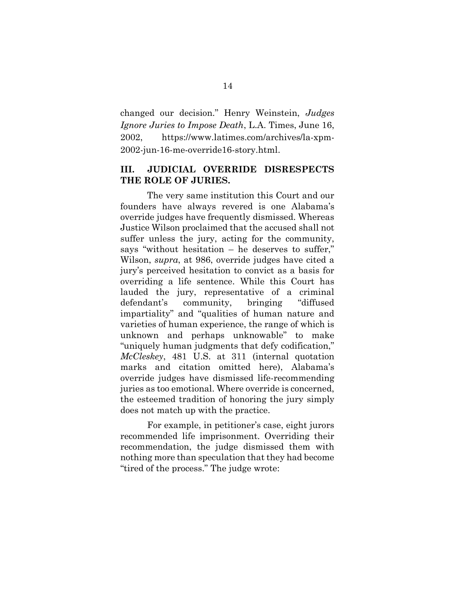changed our decision." Henry Weinstein, *Judges Ignore Juries to Impose Death*, L.A. Times, June 16, 2002, https://www.latimes.com/archives/la-xpm-2002-jun-16-me-override16-story.html.

## <span id="page-18-0"></span>**III. JUDICIAL OVERRIDE DISRESPECTS THE ROLE OF JURIES.**

The very same institution this Court and our founders have always revered is one Alabama's override judges have frequently dismissed. Whereas Justice Wilson proclaimed that the accused shall not suffer unless the jury, acting for the community, says "without hesitation – he deserves to suffer," Wilson, *supra*, at 986, override judges have cited a jury's perceived hesitation to convict as a basis for overriding a life sentence. While this Court has lauded the jury, representative of a criminal defendant's community, bringing "diffused impartiality" and "qualities of human nature and varieties of human experience, the range of which is unknown and perhaps unknowable" to make "uniquely human judgments that defy codification," *McCleskey*, 481 U.S. at 311 (internal quotation marks and citation omitted here), Alabama's override judges have dismissed life-recommending juries as too emotional. Where override is concerned, the esteemed tradition of honoring the jury simply does not match up with the practice.

For example, in petitioner's case, eight jurors recommended life imprisonment. Overriding their recommendation, the judge dismissed them with nothing more than speculation that they had become "tired of the process." The judge wrote: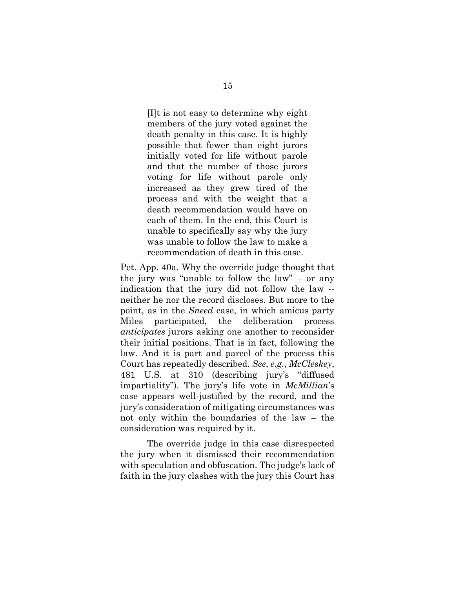[I]t is not easy to determine why eight members of the jury voted against the death penalty in this case. It is highly possible that fewer than eight jurors initially voted for life without parole and that the number of those jurors voting for life without parole only increased as they grew tired of the process and with the weight that a death recommendation would have on each of them. In the end, this Court is unable to specifically say why the jury was unable to follow the law to make a recommendation of death in this case.

Pet. App. 40a. Why the override judge thought that the jury was "unable to follow the law" – or any indication that the jury did not follow the law - neither he nor the record discloses. But more to the point, as in the *Sneed* case, in which amicus party Miles participated, the deliberation process *anticipates* jurors asking one another to reconsider their initial positions. That is in fact, following the law. And it is part and parcel of the process this Court has repeatedly described. *See*, *e.g.*, *McCleskey*, 481 U.S. at 310 (describing jury's "diffused impartiality"). The jury's life vote in *McMillian*'s case appears well-justified by the record, and the jury's consideration of mitigating circumstances was not only within the boundaries of the law – the consideration was required by it.

The override judge in this case disrespected the jury when it dismissed their recommendation with speculation and obfuscation. The judge's lack of faith in the jury clashes with the jury this Court has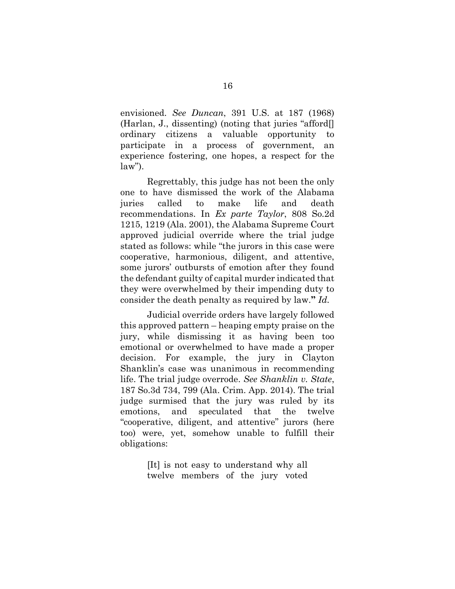envisioned. *See Duncan*, 391 U.S. at 187 (1968) (Harlan, J., dissenting) (noting that juries "afford[] ordinary citizens a valuable opportunity to participate in a process of government, an experience fostering, one hopes, a respect for the  $law$ ").

Regrettably, this judge has not been the only one to have dismissed the work of the Alabama juries called to make life and death recommendations. In *Ex parte Taylor*, 808 So.2d 1215, 1219 (Ala. 2001), the Alabama Supreme Court approved judicial override where the trial judge stated as follows: while "the jurors in this case were cooperative, harmonious, diligent, and attentive, some jurors' outbursts of emotion after they found the defendant guilty of capital murder indicated that they were overwhelmed by their impending duty to consider the death penalty as required by law.**"** *Id.*

Judicial override orders have largely followed this approved pattern – heaping empty praise on the jury, while dismissing it as having been too emotional or overwhelmed to have made a proper decision. For example, the jury in Clayton Shanklin's case was unanimous in recommending life. The trial judge overrode. *See Shanklin v. State*, 187 So.3d 734, 799 (Ala. Crim. App. 2014). The trial judge surmised that the jury was ruled by its emotions, and speculated that the twelve "cooperative, diligent, and attentive" jurors (here too) were, yet, somehow unable to fulfill their obligations:

> [It] is not easy to understand why all twelve members of the jury voted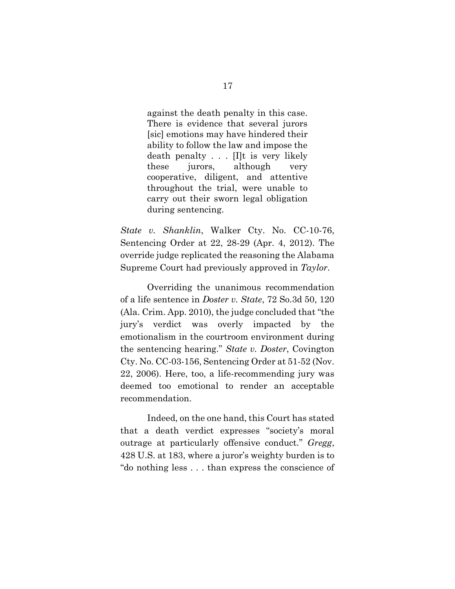against the death penalty in this case. There is evidence that several jurors [sic] emotions may have hindered their ability to follow the law and impose the death penalty . . . [I]t is very likely these jurors, although very cooperative, diligent, and attentive throughout the trial, were unable to carry out their sworn legal obligation during sentencing.

*State v. Shanklin*, Walker Cty. No. CC-10-76, Sentencing Order at 22, 28-29 (Apr. 4, 2012). The override judge replicated the reasoning the Alabama Supreme Court had previously approved in *Taylor*.

Overriding the unanimous recommendation of a life sentence in *Doster v. State*, 72 So.3d 50, 120 (Ala. Crim. App. 2010), the judge concluded that "the jury's verdict was overly impacted by the emotionalism in the courtroom environment during the sentencing hearing." *State v. Doster*, Covington Cty. No. CC-03-156, Sentencing Order at 51-52 (Nov. 22, 2006). Here, too, a life-recommending jury was deemed too emotional to render an acceptable recommendation.

Indeed, on the one hand, this Court has stated that a death verdict expresses "society's moral outrage at particularly offensive conduct." *Gregg*, 428 U.S. at 183, where a juror's weighty burden is to "do nothing less . . . than express the conscience of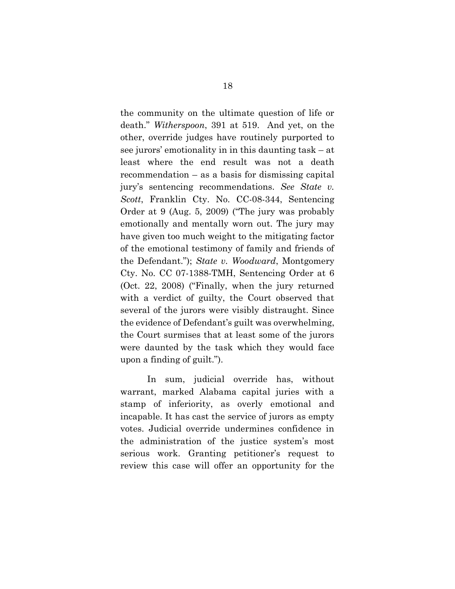the community on the ultimate question of life or death." *Witherspoon*, 391 at 519. And yet, on the other, override judges have routinely purported to see jurors' emotionality in in this daunting task – at least where the end result was not a death recommendation – as a basis for dismissing capital jury's sentencing recommendations. *See State v. Scott*, Franklin Cty. No. CC-08-344, Sentencing Order at 9 (Aug. 5, 2009) ("The jury was probably emotionally and mentally worn out. The jury may have given too much weight to the mitigating factor of the emotional testimony of family and friends of the Defendant."); *State v. Woodward*, Montgomery Cty. No. CC 07-1388-TMH, Sentencing Order at 6 (Oct. 22, 2008) ("Finally, when the jury returned with a verdict of guilty, the Court observed that several of the jurors were visibly distraught. Since the evidence of Defendant's guilt was overwhelming, the Court surmises that at least some of the jurors were daunted by the task which they would face upon a finding of guilt.").

In sum, judicial override has, without warrant, marked Alabama capital juries with a stamp of inferiority, as overly emotional and incapable. It has cast the service of jurors as empty votes. Judicial override undermines confidence in the administration of the justice system's most serious work. Granting petitioner's request to review this case will offer an opportunity for the